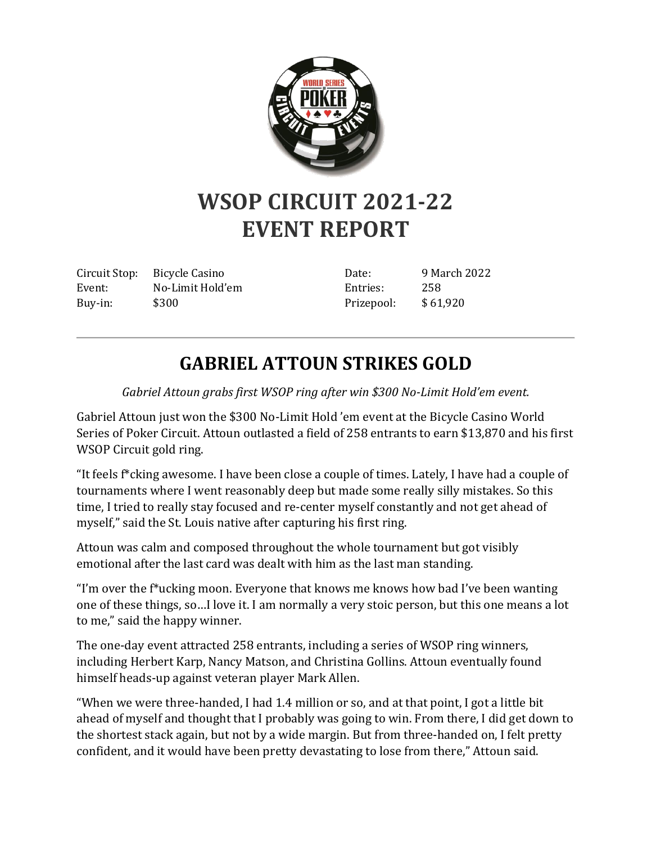

## **WSOP CIRCUIT 2021-22 EVENT REPORT**

Circuit Stop: Bicycle Casino Event: No-Limit Hold'em Buy-in: \$300

Date: 9 March 2022 Entries: 258 Prizepool: \$ 61,920

## **GABRIEL ATTOUN STRIKES GOLD**

*Gabriel Attoun grabs first WSOP ring after win \$300 No-Limit Hold'em event.*

Gabriel Attoun just won the \$300 No-Limit Hold 'em event at the Bicycle Casino World Series of Poker Circuit. Attoun outlasted a field of 258 entrants to earn \$13,870 and his first WSOP Circuit gold ring.

"It feels f\*cking awesome. I have been close a couple of times. Lately, I have had a couple of tournaments where I went reasonably deep but made some really silly mistakes. So this time, I tried to really stay focused and re-center myself constantly and not get ahead of myself," said the St. Louis native after capturing his first ring.

Attoun was calm and composed throughout the whole tournament but got visibly emotional after the last card was dealt with him as the last man standing.

"I'm over the f\*ucking moon. Everyone that knows me knows how bad I've been wanting one of these things, so…I love it. I am normally a very stoic person, but this one means a lot to me," said the happy winner.

The one-day event attracted 258 entrants, including a series of WSOP ring winners, including Herbert Karp, Nancy Matson, and Christina Gollins. Attoun eventually found himself heads-up against veteran player Mark Allen.

"When we were three-handed, I had 1.4 million or so, and at that point, I got a little bit ahead of myself and thought that I probably was going to win. From there, I did get down to the shortest stack again, but not by a wide margin. But from three-handed on, I felt pretty confident, and it would have been pretty devastating to lose from there," Attoun said.